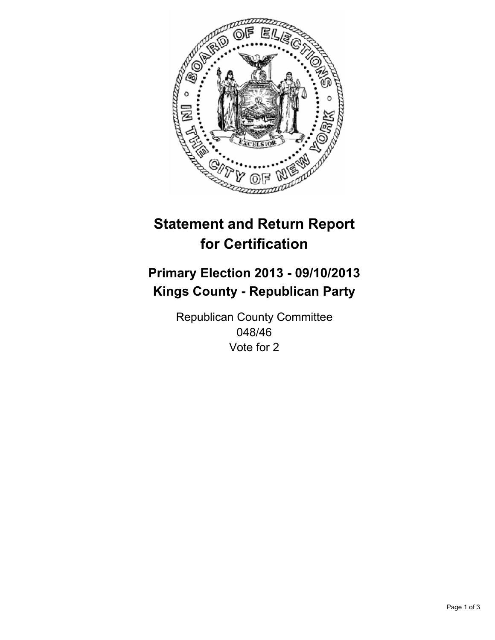

# **Statement and Return Report for Certification**

# **Primary Election 2013 - 09/10/2013 Kings County - Republican Party**

Republican County Committee 048/46 Vote for 2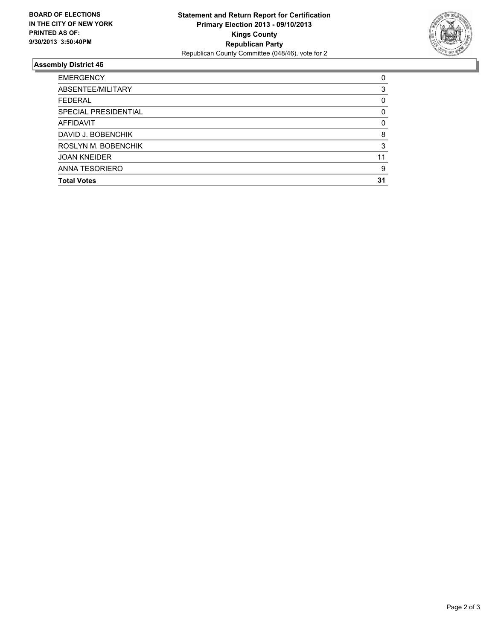

## **Assembly District 46**

| ABSENTEE/MILITARY<br><b>FEDERAL</b><br>SPECIAL PRESIDENTIAL<br><b>AFFIDAVIT</b><br>DAVID J. BOBENCHIK | 3<br>0<br>0 |
|-------------------------------------------------------------------------------------------------------|-------------|
|                                                                                                       |             |
|                                                                                                       |             |
|                                                                                                       |             |
|                                                                                                       | $\Omega$    |
|                                                                                                       | 8           |
| ROSLYN M. BOBENCHIK                                                                                   | 3           |
| <b>JOAN KNEIDER</b>                                                                                   | 11          |
| ANNA TESORIERO                                                                                        | 9           |
| <b>Total Votes</b>                                                                                    | 31          |